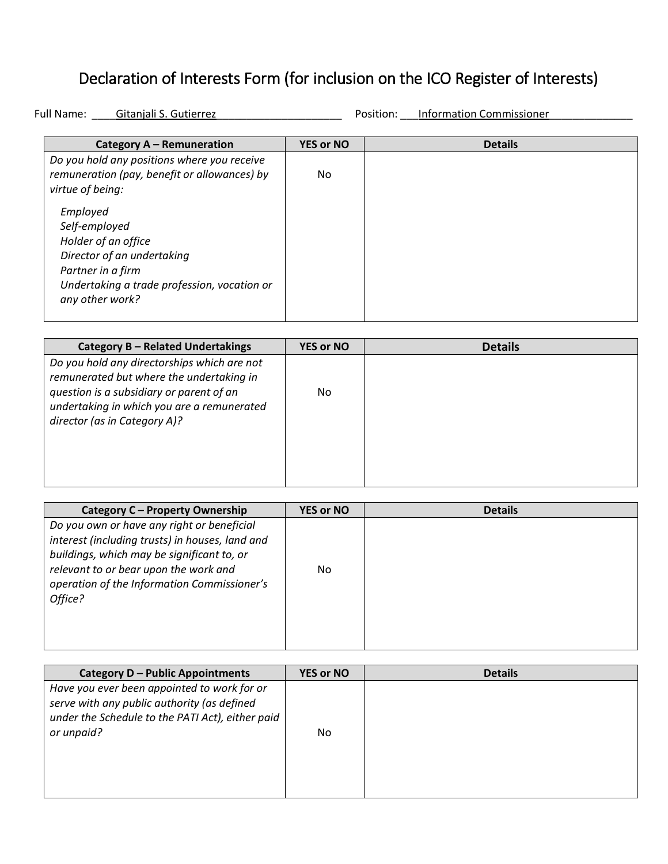## Declaration of Interests Form (for inclusion on the ICO Register of Interests)

Full Name: Gitanjali S. Gutierrez \_\_\_\_\_\_\_\_\_\_\_\_\_\_\_\_\_\_\_\_\_\_\_ Position: \_\_\_Information Commissioner

| Category A - Remuneration                    | <b>YES or NO</b> | <b>Details</b> |
|----------------------------------------------|------------------|----------------|
| Do you hold any positions where you receive  |                  |                |
| remuneration (pay, benefit or allowances) by | No.              |                |
| virtue of being:                             |                  |                |
| Employed                                     |                  |                |
| Self-employed                                |                  |                |
| Holder of an office                          |                  |                |
| Director of an undertaking                   |                  |                |
| Partner in a firm                            |                  |                |
| Undertaking a trade profession, vocation or  |                  |                |
| any other work?                              |                  |                |
|                                              |                  |                |

| Category B - Related Undertakings                                                                                                                                                                                 | <b>YES or NO</b> | <b>Details</b> |
|-------------------------------------------------------------------------------------------------------------------------------------------------------------------------------------------------------------------|------------------|----------------|
| Do you hold any directorships which are not<br>remunerated but where the undertaking in<br>question is a subsidiary or parent of an<br>undertaking in which you are a remunerated<br>director (as in Category A)? | No.              |                |

| Category C - Property Ownership                                                                                                                                                                                                                | <b>YES or NO</b> | <b>Details</b> |
|------------------------------------------------------------------------------------------------------------------------------------------------------------------------------------------------------------------------------------------------|------------------|----------------|
| Do you own or have any right or beneficial<br>interest (including trusts) in houses, land and<br>buildings, which may be significant to, or<br>relevant to or bear upon the work and<br>operation of the Information Commissioner's<br>Office? | No.              |                |

| Category D - Public Appointments                 | <b>YES or NO</b> | <b>Details</b> |
|--------------------------------------------------|------------------|----------------|
| Have you ever been appointed to work for or      |                  |                |
| serve with any public authority (as defined      |                  |                |
| under the Schedule to the PATI Act), either paid |                  |                |
| or unpaid?                                       | No.              |                |
|                                                  |                  |                |
|                                                  |                  |                |
|                                                  |                  |                |
|                                                  |                  |                |